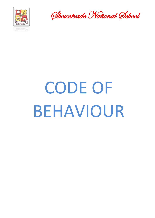

Shountrade National School

# CODE OF BEHAVIOUR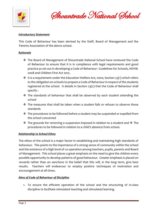

Shountrade National School

#### *Introductory Statement*

This Code of Behaviour has been devised by the Staff, Board of Management and the Parents Association of the above school.

#### *Rationale*

- ❖ The Board of Management of Shountrade National School have reviewed the Code of Behaviour to ensure that it is in compliance with legal requirements and good practice as set out in developing a Code of Behaviour : Guidelines for Schools, NEWB. 2008 and Children First Act 2015.
- ❖ It is a requirement under the Education Welfare Act, 2000, Section 23(1) which refers to the obligation on schools to prepare a Code of Behaviour in respect of the students registered at the school. It details in Section 23(2) that the Code of Behaviour shall specify :
- ❖ The standards of behaviour that shall be observed by each student attending the school
- ❖ The measures that shall be taken when a student fails or refuses to observe those standards
- ❖ The procedures to be followed before a student may be suspended or expelled from the school concerned
- ◆ The grounds for removing a suspension imposed in relation to a student and ◆ The procedures to be followed in relation to a child's absence from school.

#### *Relationship to School Ethos*

The ethos of the school is a major factor in establishing and maintaining high standards of behaviour. This points to the importance of a strong sense of community within the school and the existence of a high level of co-operation among teachers, pupils, parents and Board of Management. This school places a great emphasis on the need to give the children every possible opportunity to develop patterns of good behaviour. Greater emphasis is placed on rewards rather than on sanctions in the belief that this will, in the long term, give best results. Teachers will endeavour to employ positive techniques of motivation and encouragement at all times.

### *Aims of Code of Behaviour of Discipline*

1. To ensure the efficient operation of the school and the structuring of in-class discipline to facilitate stimulated teaching and stimulated learning.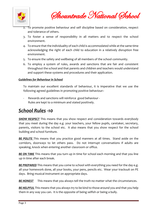

Shountrade National School

- 2. To promote positive behaviour and self discipline based on consideration, respect and tolerance of others.
- 3. To foster a sense of responsibility in all matters and to respect the school environment.
- 4. To ensure that the individuality of each child is accommodated while at the same time acknowledging the right of each child to education in a relatively disruption free environment.
- 5. To ensure the safety and wellbeing of all members of the school community.
- 6. To employ a system of rules, awards and sanctions that are fair and consistent throughout the school and that parents and children and teachers would understand and support these systems and procedures and their application.

#### *Guidelines for Behaviour in School*

To maintain our excellent standards of behaviour, it is imperative that we use the following agreed guidelines in promoting positive behaviour:-

- Rewards and sanctions will reinforce good behaviour - Rules are kept to a minimum and stated positively.

# *School Rules -10*

**SHOW RESPECT** This means that you show respect and consideration towards everybody that you meet during the day e.g. your teachers, your fellow pupils, caretaker, secretary, parents, visitors to the school etc. It also means that you show respect for the school building and school furniture.

**BE POLITE** This means that you practice good manners at all times. Stand aside on the corridors, doorways to let others pass. Do not interrupt conversations if adults are speaking, knock when entering another classroom or office.

**BE ON TIME** This means that you turn up in time for school each morning and that you line up in time after each break.

**BE PREPARED** This means that you come to school with everything you need for the day e.g. all your homework done, all your books, your pens, pencils etc. Wear your tracksuit on PE days. Bring musical instrument on appropriate days.

*BE HONEST* This means that you always tell the truth no matter what the circumstances.

*BE HELPFUL* This means that you always try to be kind to those around you and that you help them in any way you can. It is the opposite of being selfish or being a bully.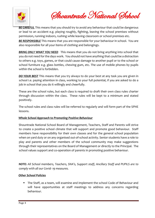

Shountrade National School

*BE CAREFUL* This means that you should try to avoid any behaviour that could be dangerous or lead to an accident e.g. playing roughly, fighting, leaving the school premises without permission, running indoors, rushing while leaving classroom or school premises etc.

*BE RESPONSIBLE* This means that you are responsible for your behaviour in school. You are also responsible for all your items of clothing and belongings.

*BRING ONLY WHAT YOU NEED* This means that you do not bring anything into school that you do not need for the days work. You should not have anything that could be a distraction to others e.g. toys, games, or that could cause damage to another pupil or to the school or school furniture e.g. glass bottles, chewing gum, etc. The use of mobile phones by pupils within the school is forbidden.

*DO YOUR BEST* This means that you try always to do your best at any task you are given in school i.e. paying attention in class, working to your full potential, if you are asked to do a job in school that you do it willingly and cheerfully.

These are the school rules, but each class is required to draft their own class rules charter through discussion within the class. These rules will be kept to a minimum and stated positively.

The school rules and class rules will be referred to regularly and will form part of the SPHE lessons.

# *Whole School Approach to Promoting Positive Behaviour*

Shountrade National School Board of Management, Teachers, Staff and Parents will strive to create a positive school climate that will support and promote good behaviour. Staff members have responsibility for their own classes and for the general school population when on yard duty or on any organised out-of-school activity. Senior students have a role to play and parents and other members of the school community may make suggestions through their representatives on the Board of Management or directly to the Principal. The school values support and co-operation of parents in promoting positive behaviour.

*NOTE: All School members, Teachers, SNA's, Support staff, Ancillary Staff and PUPILS are to comply with all our Covid- 19 measures.*

### *Other School Policies*

■ The Staff, as a team, will examine and implement the school Code of Behaviour and will have opportunities at staff meetings to address any concerns regarding behaviour.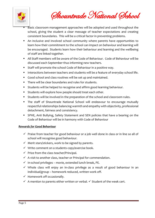

Shountrade National School

- Basic classroom management approaches will be adopted and used throughout the school, giving the student a clear message of teacher expectations and creating consistent boundaries. This will be a critical factor in preventing problems.
- An inclusive and involved school community where parents have opportunities to learn how their commitment to the school can impact on behaviour and learning will be encouraged. Students learn how their behaviour and learning and the wellbeing of staff are linked together.
- All Staff members will be aware of the Code of Behaviour. Code of Behaviour will be discussed each September thus informing new teachers.
- Staff will promote the school Code of Behaviour in a positive way.
- **E** Interactions between teachers and students will be a feature of everyday school life.
- Good school and class routines will be set up and maintained.
- There will be clear boundaries and rules for students.
- Students will be helped to recognise and affirm good learning behaviour.
- **EXECT** Students will explore how people should treat each other.
- Students will be involved in the preparation of the school and classroom rules.
- **The staff of Shountrade National School will endeavour to encourage mutually** respectful relationships balancing warmth and empathy with objectivity, professional detachment, fairness and consistency.
- **EXPHE, Anti Bullying, Safety Statement and SEN policies that have a bearing on the** Code of Behaviour will be in harmony with Code of Behaviour

# *Rewards for Good Behaviour*

- $\checkmark$  Praise from teacher for good behaviour or a job well done in class or in line so all of school will recognise good behaviour.
- $\checkmark$  Merit stars/stickers, work to be signed by parents.
- $\checkmark$  Write comment on a students copy/exercise book.
- $\checkmark$  Prize from the class teacher/Principal.
- $\checkmark$  A visit to another class, teacher or Principal for commendation.
- $\checkmark$  In-school privileges movie, extended lunch break, PE.
- $\checkmark$  Whole class will enjoy an in-class privilege as a result of good behaviour in an individual/group – homework reduced, written work off.
- $\checkmark$  Homework off occasionally.
- $\checkmark$  A mention to parents either written or verbal.  $\checkmark$  Student of the week cert.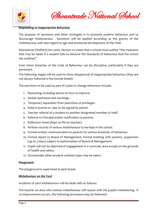

Shountrade National School

### *Responding to Inappropriate Behaviour*

The purpose of sanctions and other strategies is to promote positive behaviour and to discourage misbehaviour. Sanctions will be applied according to the gravity of the misbehaviour with due regard to age and emotional development of the child.

Educational (Welfare) Act 2000, Section 23 states that a school must outline "the measures that may be taken if a student fails to observe the standards of behaviour that the school has outlined".

Even minor breaches of the Code of Behaviour can be disruptive, particularly if they are persistent.

The following stages will be used to show disapproval of inappropriate behaviour (they are not always followed in the format listed):-

The sanctions to be used as part of a plan to change behaviour include:-

- 1. Reasoning, including advice on how to improve.
- 2. Verbal reprimand and warnings.
- 3. Temporary separation from peers/loss of privileges.
- 4. Note in journal or copy to be signed by parent.
- 5. Teacher referral of a student to another designated member of staff.
- 6. Referral to Principal and/or notification to parents.
- 7. Reflection sheet (kept on file by teacher).
- 8. Written records of serious misbehaviour to be kept in the school.
- 9. Formal written communication to parents for serious breaches of behaviour.
- 10. Formal report to Board of Management, formal meeting with parents, suspension (up to 3 days) subject to authorisation of Board of Management.
- 11. Pupils will not be deprived of engagement in a curricular area except on the grounds of health and safety.
- 12. Occasionally other prudent unlisted steps may be taken.

#### *Playground*

The playground is supervised at each break.

#### *Misbehaviour on the Yard*

Incidents of yard misbehaviour will be dealt with as follows:

The teacher on duty who notices misbehaviour will reason with the pupil/s misbehaving. If no improvement occurs, the following procedure may be followed:-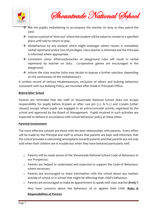



- $\cdot \cdot$  Ask the pupil/s misbehaving to accompany the teacher on duty as they patrol the yard.
- ❖ Impose a period of 'time out' where the student will be asked to remain in a specified place until told to return to play.
- ❖ Misbehaviour by any student which might endanger others results in immediate verbal reprimand and/or loss of privileges. Class teacher is informed and the Principal is informed where appropriate.
- ❖ Consistent minor offences/breaches of playground rules will result in verbal reprimand by teacher on duty. Co-operative games are encouraged in the playground.
- ❖ Inform the class teacher (who may decide to impose a further sanction, depending on the seriousness of the misbehaviour)

A written record of serious misdemeanours, exclusion of others and bullying behaviour consistent with our Bullying Policy, are recorded after break in Principals Office.

# *Before/After School*

Parents are reminded that the staff of Shountrade National School does not accept responsibility for pupils before 8:50am or after 1:40 pm (J.I. & S.I.) and 2:50pm (other classes) except where pupils are engaged in an extra-curricular activity organised by the school and approved by the Board of Management. Pupils involved in such activities are expected to behave in accordance with school behaviour policy at these times.

### *Parental Involvement*

The most effective schools are those with the best relationships with parents. Every effort will be made by the Principal and staff to ensure that parents are kept well informed, that the school provides a welcoming atmosphere towards parents and that parents are not only told when their children are in trouble but when they have behaved particularly well.

- o Parents will be made aware of the Shountrade National School Code of Behaviour in our Prospectus.
- o Parents are helped to understand and expected to support the Code of Behaviour, where necessary.
- o Parents are encouraged to share information with the school about any matters outside of school or in school that might be affecting their child's behaviour.
- o Parents are encouraged to make an appointment to speak with class teacher *firstly* if they have concerns about the behaviour of or against their child. *Roles & Responsibilities of Parents*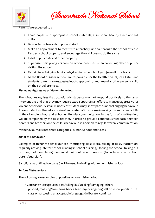

Shountrade National School

Parents are expected to :

- $\triangleright$  Equip pupils with appropriate school materials, a sufficient healthy lunch and full uniform.
- $\triangleright$  Be courteous towards pupils and staff
- $\triangleright$  Make an appointment to meet with a teacher/Principal through the school office  $\triangleright$ Respect school property and encourage their children to do the same.
- $\triangleright$  Label pupils coats and other property.
- ➢ Supervise their young children on school premises when collecting other pupils or visiting the school.
- ➢ Refrain from bringing family pets/dogs into the school yard (even if on a lead).
- $\triangleright$  As the Board of Management are responsible for the Health & Safety of all staff and students, parents are requested not to approach or reprimand another person's child on the school premises.

#### *Managing Aggressive or Violent Behaviour*

The school recognises that occasionally students may not respond positively to the usual interventions and that they may require extra support in an effort to manage aggressive or violent behaviour. A small minority of students may show particular challenging behaviour. These students will need a sustained and systematic response involving the important adults in their lives, in school and at home. Regular communication, in the form of a written log, will be completed by the class teacher, in order to provide continuous feedback between parents and teachers on the child's behaviour, in addition to regular verbal communication.

Misbehaviour falls into three categories. Minor, Serious and Gross.

#### *Minor Misbehaviour*

Examples of minor misbehaviour are interrupting class work, talking in class, inattention, regularly arriving late for school, running in school building, littering the school, talking out of turn, not completing homework without good reason (to include a note from parent/guardian).

Sanctions as outlined on page 6 will be used in dealing with minor misbehaviour.

#### *Serious Misbehaviour*

The following are examples of possible serious misbehaviour:

➢ Constantly disruptive in class/telling lies/stealing/damaging others property/bullying/answering back a teacher/endangering self or fellow pupils in the class or yard/using unacceptable language/deliberate, continual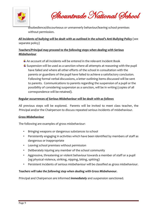

Shountrade National School

disobedience/discourteous or unmannerly behaviour/leaving school premises without permission.

# *All incidents of bullying will be dealt with as outlined in the school's Anti-Bullying Policy* (see separate policy)

# *Teachers/Principal may proceed to the following steps when dealing with Serious Misbehaviour*

- $\pm$  An account of all incidents will be entered in the relevant Incident Book
- $\ddot{\phantom{1}}$  Suspension will be used as a sanction where all attempts at reasoning with the pupil have failed and where all other efforts of the school in consultation with the parents or guardians of the pupil have failed to achieve a satisfactory conclusion. Following formal verbal discussions, a letter outlining items discussed will be sent to parents. Communications to parents regarding the suspension of a pupil or the possibility of considering suspension as a sanction, will be in writing (copies of all correspondence will be retained).

# *Regular occurrences of Serious Misbehaviour will be dealt with as follows*

All previous steps will be explored. Parents will be invited to meet class teacher, the Principal and/or the Chairperson to discuss repeated serious incidents of misbehaviour.

### *Gross Misbehaviour*

The following are examples of gross misbehaviour:

- Bringing weapons or dangerous substances to school
- Persistently engaging in activities which have been identified by members of staff as dangerous or inappropriate
- Leaving school premises without permission
- Deliberately injuring any member of the school community
- Aggressive, threatening or violent behaviour towards a member of staff or a pupil (eg physical violence, striking, nipping, biting, spitting)
- Persistent incidents of serious misbehaviour will be classified as gross misbehaviour.

# *Teachers will take the following step when dealing with Gross Misbehavour.*

Principal and Chairperson are informed *immediately* and suspension sanctioned.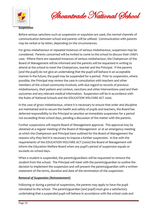

Shountrade National School

#### *Suspension*

Before serious sanctions such as suspension or expulsion are used, the normal channels of communication between school and parents will be utilised. Communication with parents may be verbal or by letter, depending on the circumstances.

For gross misbehaviour or repeated instances of serious misbehaviour, suspension may be considered. Parents concerned will be invited to come to the school to discuss their child's case. Where there are repeated instances of serious misbehaviour, the Chairperson of the Board of Management will be informed and the parents will be requested in writing to attend at the school to meet the Chairperson, teacher and the Principal. If the parents (and the pupil) do not give an undertaking that the pupil will behave in an acceptable manner in the future, the pupil may be suspended for a period. Prior to suspension, where possible, the Principal may review the case in consultation with teachers and other members of the school community involved, with due regard to records of previous misbehaviours, their pattern and context, sanctions and other interventions used and their outcomes and any relevant medical information. Suspension will be in accordance with the Rules of National Schools and the EDUCATION WELFARE ACT 2000.

In the case of gross misbehaviour, where it is necessary to ensure that order and discipline are maintained and to secure the health and safety of pupils and teachers, the Board has deferred responsibility to the Principal to sanction an immediate suspension for a period not exceeding three school days, pending a discussion of the matter with the parents.

Further suspensions will require Board of Management approval. This approval may be obtained at a regular meeting of the Board of Management or at an emergency meeting at which the Chairperson and Principal have outlined for the Board of Management the reasons why they feel it is necessary to impose a further suspension. In line with the requirements of the EDUCATION WELFARE ACT (2000) the Board of Management will inform the Education Welfare Board when any pupil's period of suspension equals or exceeds six school days.

When a student is suspended, the parents/guardians will be requested to remove the student from the school. The Principal will meet with the parents/guardian to outline the decision to implement the suspension and will present the parents/guardian with a written statement of the terms, duration and date of the termination of the suspension.

### *Removal of Suspension (Reinstatement)*

Following or during a period of suspension, the parents may apply to have the pupil reinstated to the school. The parents/guardian (and pupil) must give a satisfactory undertaking that a suspended pupil will behave in accordance with the school code and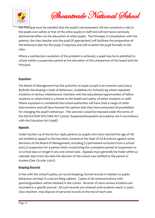

Shountrade National School

the Principal must be satisfied that the pupil's reinstatement will not constitute a risk to the pupils own safety or that of the other pupils or staff and will not have a seriously detrimental effect on the education of other pupils. The Principal, in consultation with the parents, the class teacher and the pupil (if appropriate) will facilitate the preparation of the behaviour plan for the pupil, if required, and will re-admit the pupil formally to the class.

Where a satisfactory resolution of the problem is achieved, a pupil may be re-admitted to school within a suspension period at the discretion of the chairperson of the board and the Principal.

# *Expulsion*

The Board of Management has the authority to expel a pupil in an extreme case (see p 80/81/82 Developing a Code of Behaviour, Guidelines for Schools) eg where repeated incidents of serious misbehaviour interfere with the educational opportunities of fellow students or where there is a threat to the health and safety of either students or staff. Where expulsion is considered the school authorities will have tried a range of other interventions and will have formed the opinion that they have exhausted all possibilities for changing the pupil's behaviour. This sanction would be imposed under the terms of the EDUCATION WELFARE ACT (2000). Suspension/expulsion procedures are in accordance with the Education Act (1998)

# *Appeals*

Under Section 29 of the Ed Act 1998, parents (or pupils who have reached the age of 18) are entitled to appeal to the Secretary General of the Dept of Ed & Science against some decisions of the Board of Management, including (1) permanent exclusion from a school and (2) suspension for a period which would bring the cumulative period of suspension to 20 school days or longer in any one school year. Appeals must generally be made within 42 calendar days from the date the decision of the school was notified to the parent or student (See Circular 22/02).

# *Keeping Records*

In line with the school's policy on record-keeping, formal records in relation to pupils behaviour are kept in a secure filing cabinet. Copies of all communications with parents/guardians will be retained in the school. Records of more serious incidents are recorded in a specific journal. All such records are retained until students reach 21 years. Class teachers may dispose of personal records at the end of each year.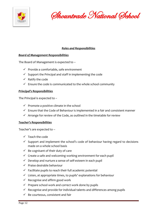

Shountrade National School

# *Roles and Responsibilities*

### *Board of Management Responsibilities*

The Board of Management is expected to –

- ✓ Provide a comfortable, safe environment
- $\checkmark$  Support the Principal and staff in implementing the code
- $\checkmark$  Ratify the code
- $\checkmark$  Ensure the code is communicated to the whole school community

### *Principal's Responsibilities*

The Principal is expected to –

- $\checkmark$  Promote a positive climate in the school
- $\checkmark$  Ensure that the Code of Behaviour is implemented in a fair and consistent manner
- $\checkmark$  Arrange for review of the Code, as outlined in the timetable for review

### *Teacher's Responsibilities*

Teacher's are expected to –

- $\checkmark$  Teach the code
- $\checkmark$  Support and implement the school's code of behaviour having regard to decisions made on a whole school basis
- $\checkmark$  Be cognisant of their duty of care
- $\checkmark$  Create a safe and welcoming working environment for each pupil
- $\checkmark$  Develop and nurture a sense of self-esteem in each pupil
- $\checkmark$  Praise desirable behaviour
- $\checkmark$  Facilitate pupils to reach their full academic potential
- $\checkmark$  Listen, at appropriate times, to pupils' explanations for behaviour
- $\checkmark$  Recognise and affirm good work
- $\checkmark$  Prepare school work and correct work done by pupils
- $\checkmark$  Recognise and provide for individual talents and differences among pupils
- $\checkmark$  Be courteous, consistent and fair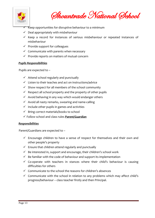

Shountrade National School

- $\sqrt{\phantom{a}}$  Keep opportunities for disruptive behaviour to a minimum
- $\checkmark$  Deal appropriately with misbehaviour
- ✓ Keep a record for instances of serious misbehaviour or repeated instances of misbehaviour
- $\checkmark$  Provide support for colleagues
- $\checkmark$  Communicate with parents when necessary
- $\checkmark$  Provide reports on matters of mutual concern

#### *Pupils Responsibilities*

Pupils are expected to –

- $\checkmark$  Attend school regularly and punctually
- ✓ Listen to their teaches and act on instructions/advice
- $\checkmark$  Show respect for all members of the school community
- $\checkmark$  Respect all school property and the property of other pupils
- $\checkmark$  Avoid behaving in any way which would endanger others
- $\checkmark$  Avoid all nasty remarks, swearing and name-calling
- $\checkmark$  Include other pupils in games and activities
- ✓ Bring correct materials/books to school
- ✓ Follow school and class rules *Parent/Guardian*

#### *Responsibilities*

Parent/Guardians are expected to –

- $\checkmark$  Encourage children to have a sense of respect for themselves and their own and other people's property
- $\checkmark$  Ensure that children attend regularly and punctually
- $\checkmark$  Be interested in, support and encourage, their children's school work
- $\checkmark$  Be familiar with the code of behaviour and support its implementation
- $\checkmark$  Co-operate with teachers in stances where their child's behaviour is causing difficulties for others
- $\checkmark$  Communicate to the school the reasons for children's absences
- ✓ Communicate with the school in relation to any problems which may affect child's progress/behaviour – class teacher firstly and then Principal.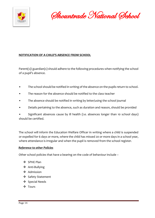

Shountrade National School

# **NOTIFICATION OF A CHILD'S ABSENCE FROM SCHOOL**

Parent(s)/ guardian(s) should adhere to the following procedures when notifying the school of a pupil's absence.

- The school should be notified in writing of the absence on the pupils return to school.
- The reason for the absence should be notified to the class teacher
- The absence should be notified in writing by letter/using the school journal
- Details pertaining to the absence, such as duration and reason, should be provided

Significant absences cause by ill health (i.e. absences longer than 10 school days) should be certified.

The school will inform the Education Welfare Officer in writing where a child is suspended or expelled for 6 days or more, where the child has missed 20 or more days in a school year, where attendance is irregular and when the pupil is removed from the school register.

#### *Reference to other Policies*

Other school policies that have a bearing on the code of behaviour include –

- ❖ SPHE Plan
- ❖ Anti-Bullying
- ❖ Admission
- ❖ Safety Statement
- ❖ Special Needs
- ❖ Tours